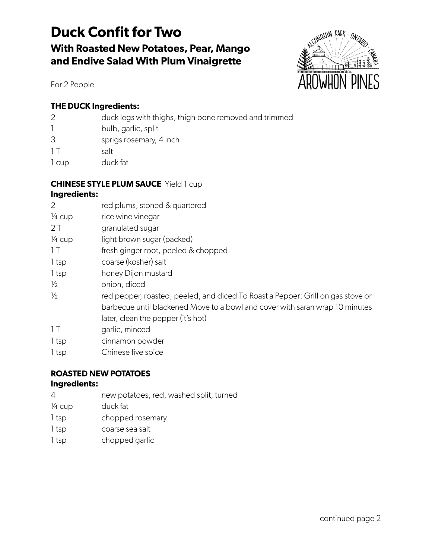# **Duck Confit for Two With Roasted New Potatoes, Pear, Mango and Endive Salad With Plum Vinaigrette**



For 2 People

## **THE DUCK Ingredients:**

|       | duck legs with thighs, thigh bone removed and trimmed |
|-------|-------------------------------------------------------|
|       | bulb, garlic, split                                   |
| 3     | sprigs rosemary, 4 inch                               |
| 1 T   | salt                                                  |
| 1 cup | duck fat                                              |

#### **CHINESE STYLE PLUM SAUCE** Yield 1 cup **Ingredients:**

| 2                 | red plums, stoned & quartered                                                   |
|-------------------|---------------------------------------------------------------------------------|
| $\frac{1}{4}$ cup | rice wine vinegar                                                               |
| 2T                | granulated sugar                                                                |
| $\frac{1}{4}$ cup | light brown sugar (packed)                                                      |
| 1 <sub>T</sub>    | fresh ginger root, peeled & chopped                                             |
| 1 tsp             | coarse (kosher) salt                                                            |
| 1 tsp             | honey Dijon mustard                                                             |
| $\frac{1}{2}$     | onion, diced                                                                    |
| $\frac{1}{2}$     | red pepper, roasted, peeled, and diced To Roast a Pepper: Grill on gas stove or |
|                   | barbecue until blackened Move to a bowl and cover with saran wrap 10 minutes    |
|                   | later, clean the pepper (it's hot)                                              |
| 1T                | garlic, minced                                                                  |
| 1 tsp             | cinnamon powder                                                                 |
| 1 tsp             | Chinese five spice                                                              |

# **ROASTED NEW POTATOES**

#### **Ingredients:**

- 4 new potatoes, red, washed split, turned
- ¼ cup duck fat
- 1 tsp chopped rosemary
- 1 tsp coarse sea salt
- 1 tsp chopped garlic